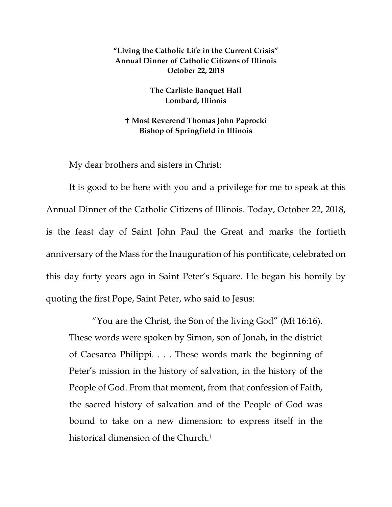## **"Living the Catholic Life in the Current Crisis" Annual Dinner of Catholic Citizens of Illinois October 22, 2018**

## **The Carlisle Banquet Hall Lombard, Illinois**

## **Most Reverend Thomas John Paprocki Bishop of Springfield in Illinois**

My dear brothers and sisters in Christ:

It is good to be here with you and a privilege for me to speak at this Annual Dinner of the Catholic Citizens of Illinois. Today, October 22, 2018, is the feast day of Saint John Paul the Great and marks the fortieth anniversary of the Mass for the Inauguration of his pontificate, celebrated on this day forty years ago in Saint Peter's Square. He began his homily by quoting the first Pope, Saint Peter, who said to Jesus:

"You are the Christ, the Son of the living God" (Mt 16:16). These words were spoken by Simon, son of Jonah, in the district of Caesarea Philippi. . . . These words mark the beginning of Peter's mission in the history of salvation, in the history of the People of God. From that moment, from that confession of Faith, the sacred history of salvation and of the People of God was bound to take on a new dimension: to express itself in the historical dimension of the Church.<sup>[1](#page-5-0)</sup>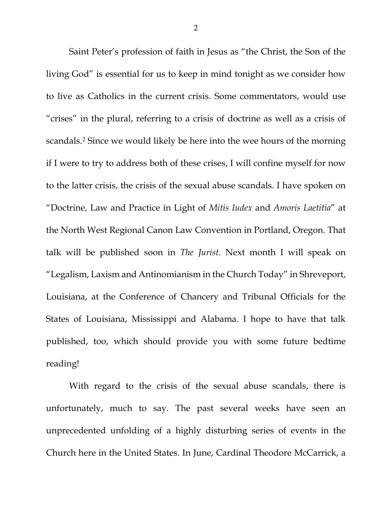Saint Peter's profession of faith in Jesus as "the Christ, the Son of the living God" is essential for us to keep in mind tonight as we consider how to live as Catholics in the current crisis. Some commentators, would use "crises" in the plural, referring to a crisis of doctrine as well as a crisis of scandals.[2](#page-5-1) Since we would likely be here into the wee hours of the morning if I were to try to address both of these crises, I will confine myself for now to the latter crisis, the crisis of the sexual abuse scandals. I have spoken on "Doctrine, Law and Practice in Light of *Mitis Iudex* and *Amoris Laetitia*" at the North West Regional Canon Law Convention in Portland, Oregon. That talk will be published soon in *The Jurist*. Next month I will speak on "Legalism, Laxism and Antinomianism in the Church Today" in Shreveport, Louisiana, at the Conference of Chancery and Tribunal Officials for the States of Louisiana, Mississippi and Alabama. I hope to have that talk published, too, which should provide you with some future bedtime reading!

With regard to the crisis of the sexual abuse scandals, there is unfortunately, much to say. The past several weeks have seen an unprecedented unfolding of a highly disturbing series of events in the Church here in the United States. In June, Cardinal Theodore McCarrick, a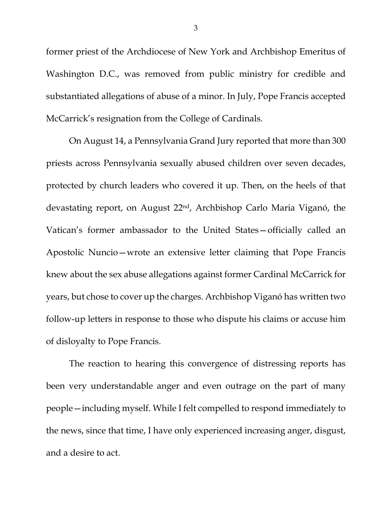former priest of the Archdiocese of New York and Archbishop Emeritus of Washington D.C., was removed from public ministry for credible and substantiated allegations of abuse of a minor. In July, Pope Francis accepted McCarrick's resignation from the College of Cardinals.

On August 14, a Pennsylvania Grand Jury reported that more than 300 priests across Pennsylvania sexually abused children over seven decades, protected by church leaders who covered it up. Then, on the heels of that devastating report, on August 22nd, Archbishop Carlo Maria Viganó, the Vatican's former ambassador to the United States—officially called an Apostolic Nuncio—wrote an extensive letter claiming that Pope Francis knew about the sex abuse allegations against former Cardinal McCarrick for years, but chose to cover up the charges. Archbishop Viganó has written two follow-up letters in response to those who dispute his claims or accuse him of disloyalty to Pope Francis.

The reaction to hearing this convergence of distressing reports has been very understandable anger and even outrage on the part of many people—including myself. While I felt compelled to respond immediately to the news, since that time, I have only experienced increasing anger, disgust, and a desire to act.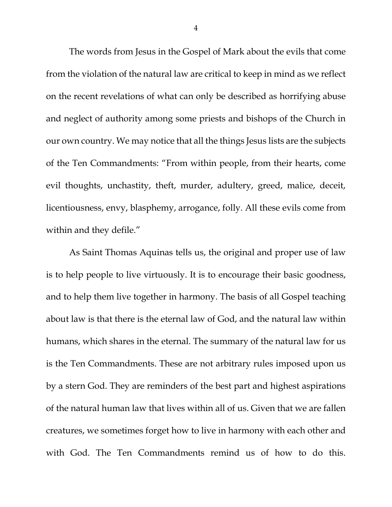The words from Jesus in the Gospel of Mark about the evils that come from the violation of the natural law are critical to keep in mind as we reflect on the recent revelations of what can only be described as horrifying abuse and neglect of authority among some priests and bishops of the Church in our own country. We may notice that all the things Jesus lists are the subjects of the Ten Commandments: "From within people, from their hearts, come evil thoughts, unchastity, theft, murder, adultery, greed, malice, deceit, licentiousness, envy, blasphemy, arrogance, folly. All these evils come from within and they defile."

As Saint Thomas Aquinas tells us, the original and proper use of law is to help people to live virtuously. It is to encourage their basic goodness, and to help them live together in harmony. The basis of all Gospel teaching about law is that there is the eternal law of God, and the natural law within humans, which shares in the eternal. The summary of the natural law for us is the Ten Commandments. These are not arbitrary rules imposed upon us by a stern God. They are reminders of the best part and highest aspirations of the natural human law that lives within all of us. Given that we are fallen creatures, we sometimes forget how to live in harmony with each other and with God. The Ten Commandments remind us of how to do this.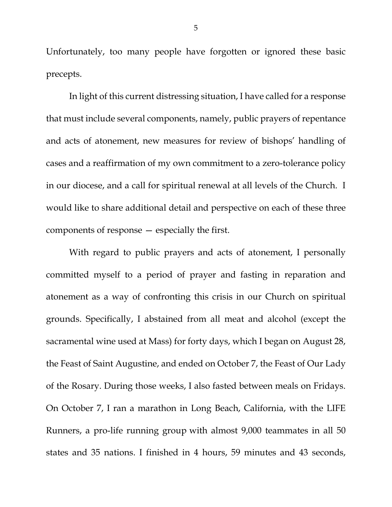Unfortunately, too many people have forgotten or ignored these basic precepts.

In light of this current distressing situation, I have called for a response that must include several components, namely, public prayers of repentance and acts of atonement, new measures for review of bishops' handling of cases and a reaffirmation of my own commitment to a zero-tolerance policy in our diocese, and a call for spiritual renewal at all levels of the Church. I would like to share additional detail and perspective on each of these three components of response — especially the first.

With regard to public prayers and acts of atonement, I personally committed myself to a period of prayer and fasting in reparation and atonement as a way of confronting this crisis in our Church on spiritual grounds. Specifically, I abstained from all meat and alcohol (except the sacramental wine used at Mass) for forty days, which I began on August 28, the Feast of Saint Augustine, and ended on October 7, the Feast of Our Lady of the Rosary. During those weeks, I also fasted between meals on Fridays. On October 7, I ran a marathon in Long Beach, California, with the LIFE Runners, a pro-life running group with almost 9,000 teammates in all 50 states and 35 nations. I finished in 4 hours, 59 minutes and 43 seconds,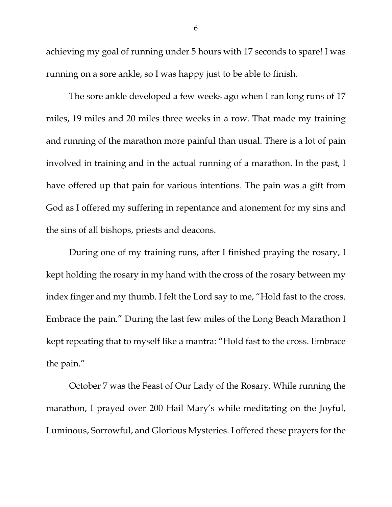achieving my goal of running under 5 hours with 17 seconds to spare! I was running on a sore ankle, so I was happy just to be able to finish.

The sore ankle developed a few weeks ago when I ran long runs of 17 miles, 19 miles and 20 miles three weeks in a row. That made my training and running of the marathon more painful than usual. There is a lot of pain involved in training and in the actual running of a marathon. In the past, I have offered up that pain for various intentions. The pain was a gift from God as I offered my suffering in repentance and atonement for my sins and the sins of all bishops, priests and deacons.

During one of my training runs, after I finished praying the rosary, I kept holding the rosary in my hand with the cross of the rosary between my index finger and my thumb. I felt the Lord say to me, "Hold fast to the cross. Embrace the pain." During the last few miles of the Long Beach Marathon I kept repeating that to myself like a mantra: "Hold fast to the cross. Embrace the pain."

<span id="page-5-2"></span><span id="page-5-1"></span><span id="page-5-0"></span>October 7 was the Feast of Our Lady of the Rosary. While running the marathon, I prayed over 200 Hail Mary's while meditating on the Joyful, Luminous, Sorrowful, and Glorious Mysteries. I offered these prayers for the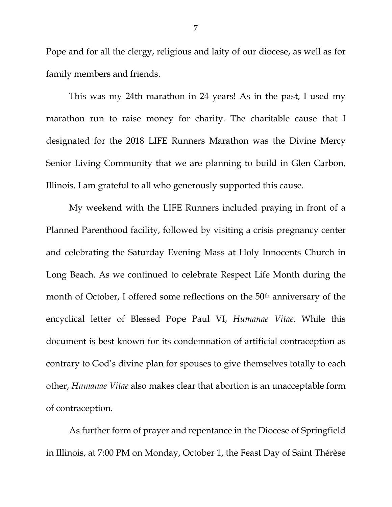Pope and for all the clergy, religious and laity of our diocese, as well as for family members and friends.

This was my 24th marathon in 24 years! As in the past, I used my marathon run to raise money for charity. The charitable cause that I designated for the 2018 LIFE Runners Marathon was the Divine Mercy Senior Living Community that we are planning to build in Glen Carbon, Illinois. I am grateful to all who generously supported this cause.

My weekend with the LIFE Runners included praying in front of a Planned Parenthood facility, followed by visiting a crisis pregnancy center and celebrating the Saturday Evening Mass at Holy Innocents Church in Long Beach. As we continued to celebrate Respect Life Month during the month of October, I offered some reflections on the 50<sup>th</sup> anniversary of the encyclical letter of Blessed Pope Paul VI, *Humanae Vitae*. While this document is best known for its condemnation of artificial contraception as contrary to God's divine plan for spouses to give themselves totally to each other, *Humanae Vitae* also makes clear that abortion is an unacceptable form of contraception.

As further form of prayer and repentance in the Diocese of Springfield in Illinois, at 7:00 PM on Monday, October 1, the Feast Day of Saint Thérèse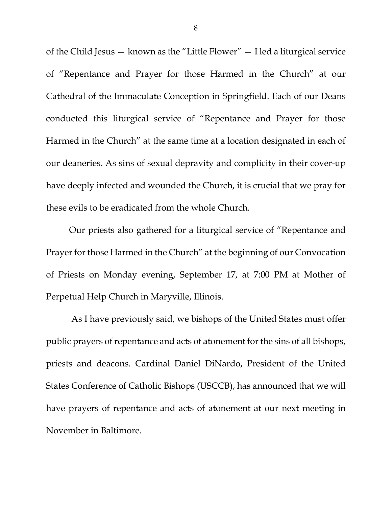of the Child Jesus — known as the "Little Flower" — I led a liturgical service of "Repentance and Prayer for those Harmed in the Church" at our Cathedral of the Immaculate Conception in Springfield. Each of our Deans conducted this liturgical service of "Repentance and Prayer for those Harmed in the Church" at the same time at a location designated in each of our deaneries. As sins of sexual depravity and complicity in their cover-up have deeply infected and wounded the Church, it is crucial that we pray for these evils to be eradicated from the whole Church.

Our priests also gathered for a liturgical service of "Repentance and Prayer for those Harmed in the Church" at the beginning of our Convocation of Priests on Monday evening, September 17, at 7:00 PM at Mother of Perpetual Help Church in Maryville, Illinois.

As I have previously said, we bishops of the United States must offer public prayers of repentance and acts of atonement for the sins of all bishops, priests and deacons. Cardinal Daniel DiNardo, President of the United States Conference of Catholic Bishops (USCCB), has announced that we will have prayers of repentance and acts of atonement at our next meeting in November in Baltimore.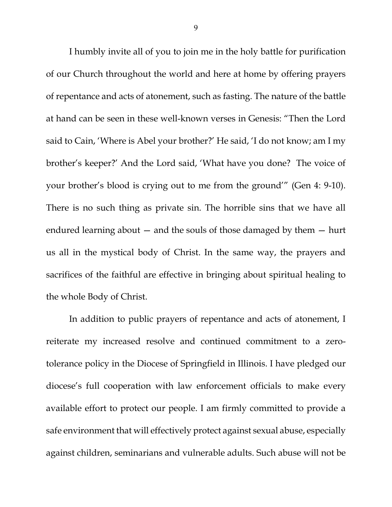I humbly invite all of you to join me in the holy battle for purification of our Church throughout the world and here at home by offering prayers of repentance and acts of atonement, such as fasting. The nature of the battle at hand can be seen in these well-known verses in Genesis: "Then the Lord said to Cain, 'Where is Abel your brother?' He said, 'I do not know; am I my brother's keeper?' And the Lord said, 'What have you done? The voice of your brother's blood is crying out to me from the ground'" (Gen 4: 9-10). There is no such thing as private sin. The horrible sins that we have all endured learning about — and the souls of those damaged by them — hurt us all in the mystical body of Christ. In the same way, the prayers and sacrifices of the faithful are effective in bringing about spiritual healing to the whole Body of Christ.

In addition to public prayers of repentance and acts of atonement, I reiterate my increased resolve and continued commitment to a zerotolerance policy in the Diocese of Springfield in Illinois. I have pledged our diocese's full cooperation with law enforcement officials to make every available effort to protect our people. I am firmly committed to provide a safe environment that will effectively protect against sexual abuse, especially against children, seminarians and vulnerable adults. Such abuse will not be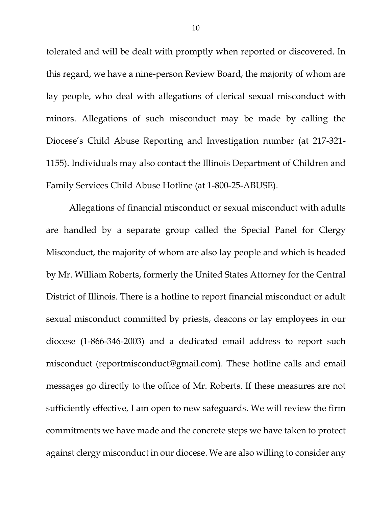tolerated and will be dealt with promptly when reported or discovered. In this regard, we have a nine-person Review Board, the majority of whom are lay people, who deal with allegations of clerical sexual misconduct with minors. Allegations of such misconduct may be made by calling the Diocese's Child Abuse Reporting and Investigation number (at 217-321- 1155). Individuals may also contact the Illinois Department of Children and Family Services Child Abuse Hotline (at 1-800-25-ABUSE).

Allegations of financial misconduct or sexual misconduct with adults are handled by a separate group called the Special Panel for Clergy Misconduct, the majority of whom are also lay people and which is headed by Mr. William Roberts, formerly the United States Attorney for the Central District of Illinois. There is a hotline to report financial misconduct or adult sexual misconduct committed by priests, deacons or lay employees in our diocese (1-866-346-2003) and a dedicated email address to report such misconduct (reportmisconduct@gmail.com). These hotline calls and email messages go directly to the office of Mr. Roberts. If these measures are not sufficiently effective, I am open to new safeguards. We will review the firm commitments we have made and the concrete steps we have taken to protect against clergy misconduct in our diocese. We are also willing to consider any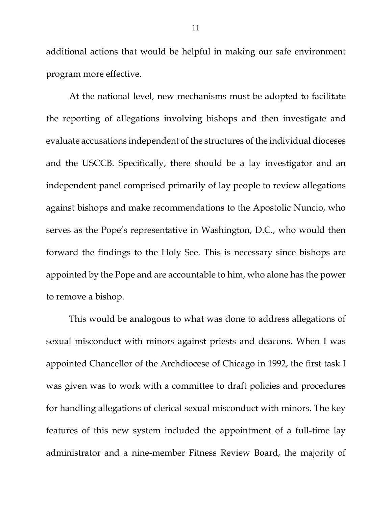additional actions that would be helpful in making our safe environment program more effective.

At the national level, new mechanisms must be adopted to facilitate the reporting of allegations involving bishops and then investigate and evaluate accusations independent of the structures of the individual dioceses and the USCCB. Specifically, there should be a lay investigator and an independent panel comprised primarily of lay people to review allegations against bishops and make recommendations to the Apostolic Nuncio, who serves as the Pope's representative in Washington, D.C., who would then forward the findings to the Holy See. This is necessary since bishops are appointed by the Pope and are accountable to him, who alone has the power to remove a bishop.

This would be analogous to what was done to address allegations of sexual misconduct with minors against priests and deacons. When I was appointed Chancellor of the Archdiocese of Chicago in 1992, the first task I was given was to work with a committee to draft policies and procedures for handling allegations of clerical sexual misconduct with minors. The key features of this new system included the appointment of a full-time lay administrator and a nine-member Fitness Review Board, the majority of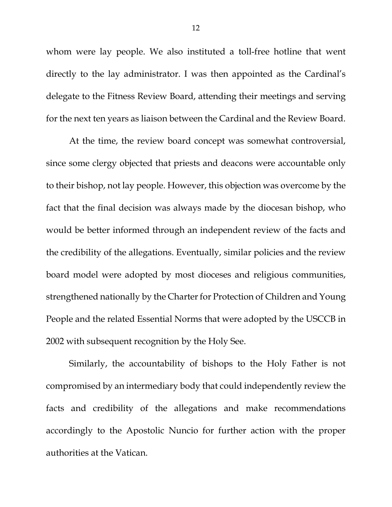whom were lay people. We also instituted a toll-free hotline that went directly to the lay administrator. I was then appointed as the Cardinal's delegate to the Fitness Review Board, attending their meetings and serving for the next ten years as liaison between the Cardinal and the Review Board.

At the time, the review board concept was somewhat controversial, since some clergy objected that priests and deacons were accountable only to their bishop, not lay people. However, this objection was overcome by the fact that the final decision was always made by the diocesan bishop, who would be better informed through an independent review of the facts and the credibility of the allegations. Eventually, similar policies and the review board model were adopted by most dioceses and religious communities, strengthened nationally by the Charter for Protection of Children and Young People and the related Essential Norms that were adopted by the USCCB in 2002 with subsequent recognition by the Holy See.

Similarly, the accountability of bishops to the Holy Father is not compromised by an intermediary body that could independently review the facts and credibility of the allegations and make recommendations accordingly to the Apostolic Nuncio for further action with the proper authorities at the Vatican.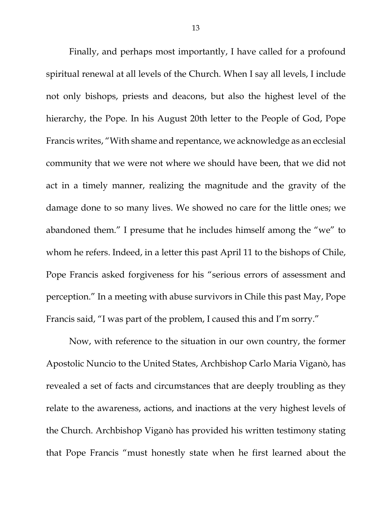Finally, and perhaps most importantly, I have called for a profound spiritual renewal at all levels of the Church. When I say all levels, I include not only bishops, priests and deacons, but also the highest level of the hierarchy, the Pope. In his August 20th letter to the People of God, Pope Francis writes, "With shame and repentance, we acknowledge as an ecclesial community that we were not where we should have been, that we did not act in a timely manner, realizing the magnitude and the gravity of the damage done to so many lives. We showed no care for the little ones; we abandoned them." I presume that he includes himself among the "we" to whom he refers. Indeed, in a letter this past April 11 to the bishops of Chile, Pope Francis asked forgiveness for his "serious errors of assessment and perception." In a meeting with abuse survivors in Chile this past May, Pope Francis said, "I was part of the problem, I caused this and I'm sorry."

Now, with reference to the situation in our own country, the former Apostolic Nuncio to the United States, Archbishop Carlo Maria Viganò, has revealed a set of facts and circumstances that are deeply troubling as they relate to the awareness, actions, and inactions at the very highest levels of the Church. Archbishop Viganò has provided his written testimony stating that Pope Francis "must honestly state when he first learned about the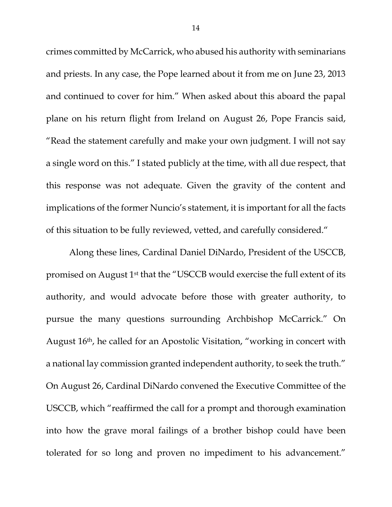crimes committed by McCarrick, who abused his authority with seminarians and priests. In any case, the Pope learned about it from me on June 23, 2013 and continued to cover for him." When asked about this aboard the papal plane on his return flight from Ireland on August 26, Pope Francis said, "Read the statement carefully and make your own judgment. I will not say a single word on this." I stated publicly at the time, with all due respect, that this response was not adequate. Given the gravity of the content and implications of the former Nuncio's statement, it is important for all the facts of this situation to be fully reviewed, vetted, and carefully considered."

Along these lines, Cardinal Daniel DiNardo, President of the USCCB, promised on August 1st that the "USCCB would exercise the full extent of its authority, and would advocate before those with greater authority, to pursue the many questions surrounding Archbishop McCarrick." On August 16th, he called for an Apostolic Visitation, "working in concert with a national lay commission granted independent authority, to seek the truth." On August 26, Cardinal DiNardo convened the Executive Committee of the USCCB, which "reaffirmed the call for a prompt and thorough examination into how the grave moral failings of a brother bishop could have been tolerated for so long and proven no impediment to his advancement."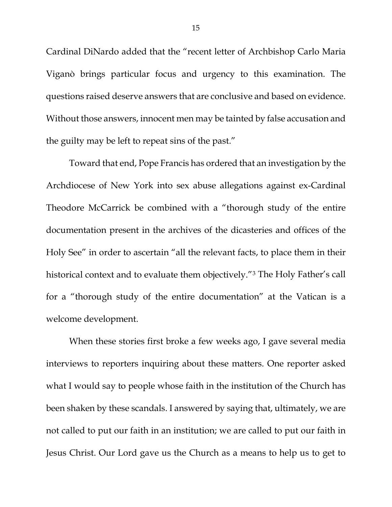Cardinal DiNardo added that the "recent letter of Archbishop Carlo Maria Viganò brings particular focus and urgency to this examination. The questions raised deserve answers that are conclusive and based on evidence. Without those answers, innocent men may be tainted by false accusation and the guilty may be left to repeat sins of the past."

Toward that end, Pope Francis has ordered that an investigation by the Archdiocese of New York into sex abuse allegations against ex-Cardinal Theodore McCarrick be combined with a "thorough study of the entire documentation present in the archives of the dicasteries and offices of the Holy See" in order to ascertain "all the relevant facts, to place them in their historical context and to evaluate them objectively."[3](#page-5-2) The Holy Father's call for a "thorough study of the entire documentation" at the Vatican is a welcome development.

When these stories first broke a few weeks ago, I gave several media interviews to reporters inquiring about these matters. One reporter asked what I would say to people whose faith in the institution of the Church has been shaken by these scandals. I answered by saying that, ultimately, we are not called to put our faith in an institution; we are called to put our faith in Jesus Christ. Our Lord gave us the Church as a means to help us to get to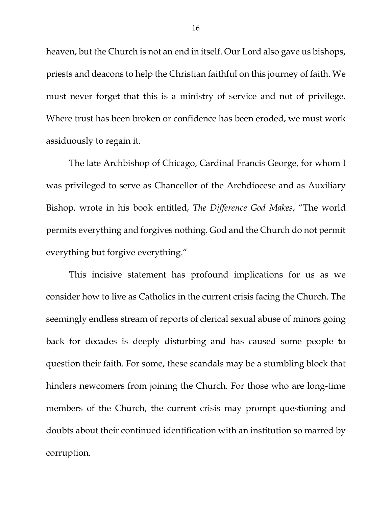heaven, but the Church is not an end in itself. Our Lord also gave us bishops, priests and deacons to help the Christian faithful on this journey of faith. We must never forget that this is a ministry of service and not of privilege. Where trust has been broken or confidence has been eroded, we must work assiduously to regain it.

The late Archbishop of Chicago, Cardinal Francis George, for whom I was privileged to serve as Chancellor of the Archdiocese and as Auxiliary Bishop, wrote in his book entitled, *The Difference God Makes*, "The world permits everything and forgives nothing. God and the Church do not permit everything but forgive everything."

This incisive statement has profound implications for us as we consider how to live as Catholics in the current crisis facing the Church. The seemingly endless stream of reports of clerical sexual abuse of minors going back for decades is deeply disturbing and has caused some people to question their faith. For some, these scandals may be a stumbling block that hinders newcomers from joining the Church. For those who are long-time members of the Church, the current crisis may prompt questioning and doubts about their continued identification with an institution so marred by corruption.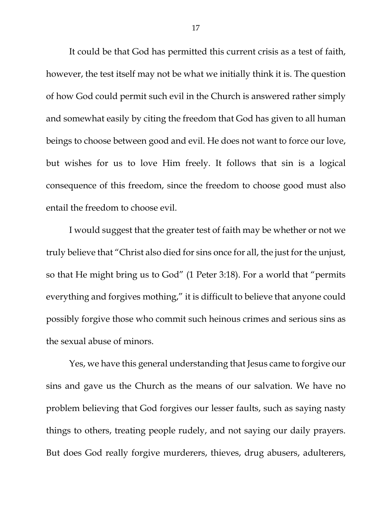It could be that God has permitted this current crisis as a test of faith, however, the test itself may not be what we initially think it is. The question of how God could permit such evil in the Church is answered rather simply and somewhat easily by citing the freedom that God has given to all human beings to choose between good and evil. He does not want to force our love, but wishes for us to love Him freely. It follows that sin is a logical consequence of this freedom, since the freedom to choose good must also entail the freedom to choose evil.

I would suggest that the greater test of faith may be whether or not we truly believe that "Christ also died for sins once for all, the just for the unjust, so that He might bring us to God" (1 Peter 3:18). For a world that "permits everything and forgives mothing," it is difficult to believe that anyone could possibly forgive those who commit such heinous crimes and serious sins as the sexual abuse of minors.

Yes, we have this general understanding that Jesus came to forgive our sins and gave us the Church as the means of our salvation. We have no problem believing that God forgives our lesser faults, such as saying nasty things to others, treating people rudely, and not saying our daily prayers. But does God really forgive murderers, thieves, drug abusers, adulterers,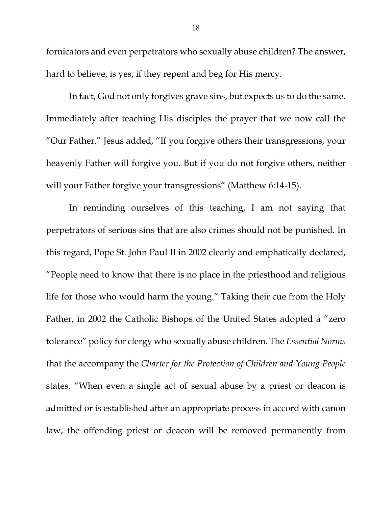fornicators and even perpetrators who sexually abuse children? The answer, hard to believe, is yes, if they repent and beg for His mercy.

In fact, God not only forgives grave sins, but expects us to do the same. Immediately after teaching His disciples the prayer that we now call the "Our Father," Jesus added, "If you forgive others their transgressions, your heavenly Father will forgive you. But if you do not forgive others, neither will your Father forgive your transgressions" (Matthew 6:14-15).

In reminding ourselves of this teaching, I am not saying that perpetrators of serious sins that are also crimes should not be punished. In this regard, Pope St. John Paul II in 2002 clearly and emphatically declared, "People need to know that there is no place in the priesthood and religious life for those who would harm the young." Taking their cue from the Holy Father, in 2002 the Catholic Bishops of the United States adopted a "zero tolerance" policy for clergy who sexually abuse children. The *Essential Norms* that the accompany the *Charter for the Protection of Children and Young People* states, "When even a single act of sexual abuse by a priest or deacon is admitted or is established after an appropriate process in accord with canon law, the offending priest or deacon will be removed permanently from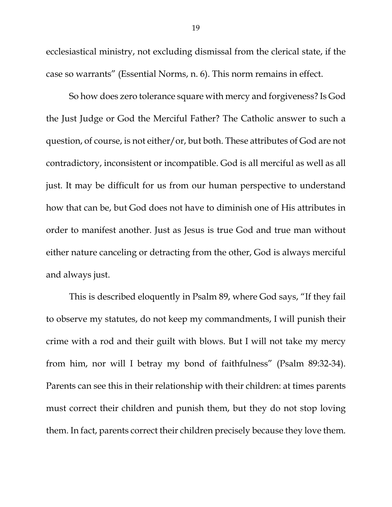ecclesiastical ministry, not excluding dismissal from the clerical state, if the case so warrants" (Essential Norms, n. 6). This norm remains in effect.

So how does zero tolerance square with mercy and forgiveness? Is God the Just Judge or God the Merciful Father? The Catholic answer to such a question, of course, is not either/or, but both. These attributes of God are not contradictory, inconsistent or incompatible. God is all merciful as well as all just. It may be difficult for us from our human perspective to understand how that can be, but God does not have to diminish one of His attributes in order to manifest another. Just as Jesus is true God and true man without either nature canceling or detracting from the other, God is always merciful and always just.

This is described eloquently in Psalm 89, where God says, "If they fail to observe my statutes, do not keep my commandments, I will punish their crime with a rod and their guilt with blows. But I will not take my mercy from him, nor will I betray my bond of faithfulness" (Psalm 89:32-34). Parents can see this in their relationship with their children: at times parents must correct their children and punish them, but they do not stop loving them. In fact, parents correct their children precisely because they love them.